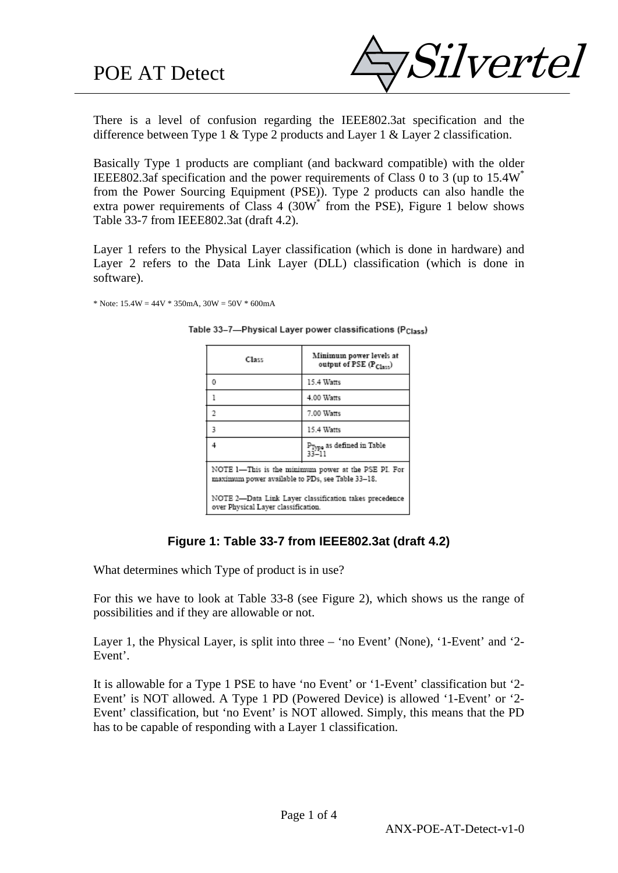

There is a level of confusion regarding the IEEE802.3at specification and the difference between Type 1 & Type 2 products and Layer 1 & Layer 2 classification.

Basically Type 1 products are compliant (and backward compatible) with the older IEEE802.3af specification and the power requirements of Class 0 to 3 (up to 15.4W\* from the Power Sourcing Equipment (PSE)). Type 2 products can also handle the extra power requirements of Class  $4$  (30W $*$  from the PSE), Figure 1 below shows Table 33-7 from IEEE802.3at (draft 4.2).

Layer 1 refers to the Physical Layer classification (which is done in hardware) and Layer 2 refers to the Data Link Layer (DLL) classification (which is done in software).

\* Note:  $15.4W = 44V * 350mA$ ,  $30W = 50V * 600mA$ 

| Class                                                                                                   | Minimum power levels at<br>output of PSE $(P_{Clav})$ |  |
|---------------------------------------------------------------------------------------------------------|-------------------------------------------------------|--|
| 0                                                                                                       | 15.4 Watts                                            |  |
| 1                                                                                                       | 4.00 Watts                                            |  |
| 2                                                                                                       | 7.00 Watts                                            |  |
| 3                                                                                                       | 15.4 Watts                                            |  |
|                                                                                                         | $P_{Type}$ as defined in Table<br>33-11               |  |
| NOTE 1-This is the minimum power at the PSE PI. For<br>maximum power available to PDs, see Table 33-18. |                                                       |  |
| NOTE 2-Data Link Layer classification takes precedence<br>over Physical Layer classification.           |                                                       |  |

Table 33-7-Physical Layer power classifications (P<sub>Class</sub>)

## **Figure 1: Table 33-7 from IEEE802.3at (draft 4.2)**

What determines which Type of product is in use?

For this we have to look at Table 33-8 (see Figure 2), which shows us the range of possibilities and if they are allowable or not.

Layer 1, the Physical Layer, is split into three – 'no Event' (None), '1-Event' and '2- Event'.

It is allowable for a Type 1 PSE to have 'no Event' or '1-Event' classification but '2- Event' is NOT allowed. A Type 1 PD (Powered Device) is allowed '1-Event' or '2- Event' classification, but 'no Event' is NOT allowed. Simply, this means that the PD has to be capable of responding with a Layer 1 classification.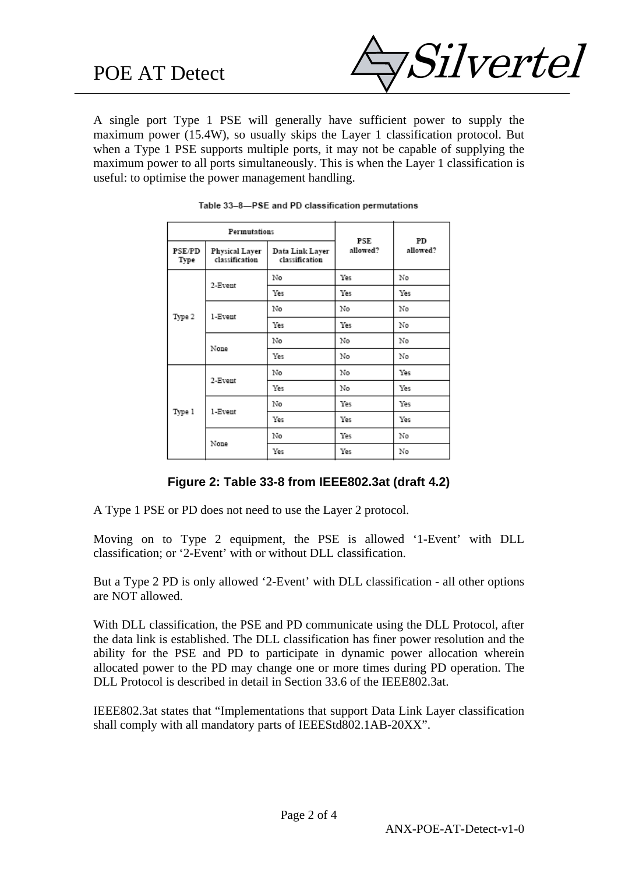

A single port Type 1 PSE will generally have sufficient power to supply the maximum power (15.4W), so usually skips the Layer 1 classification protocol. But when a Type 1 PSE supports multiple ports, it may not be capable of supplying the maximum power to all ports simultaneously. This is when the Layer 1 classification is useful: to optimise the power management handling.

| Permutations          |                                         |                                               | PSE | PD       |  |
|-----------------------|-----------------------------------------|-----------------------------------------------|-----|----------|--|
| <b>PSE/PD</b><br>Type | <b>Physical Layer</b><br>classification | allowed?<br>Data Link Layer<br>classification |     | allowed? |  |
|                       | 2-Event                                 | No                                            | Yes | No       |  |
|                       |                                         | Yes                                           | Yes | Yes      |  |
|                       | 1-Event                                 | No                                            | No  | No       |  |
| Type 2                |                                         | Yes                                           | Yes | No       |  |
|                       | None                                    | No                                            | No  | No       |  |
|                       |                                         | Yes                                           | No  | No       |  |
| Type 1                | 2-Event                                 | No                                            | No  | Yes      |  |
|                       |                                         | Yes                                           | No  | Yes      |  |
|                       | 1-Event                                 | No                                            | Yes | Yes      |  |
|                       |                                         | Yes                                           | Yes | Yes      |  |
|                       | None                                    | No                                            | Yes | No       |  |
|                       |                                         | Yes                                           | Yes | No       |  |

| Table 33-8-PSE and PD classification permutations |  |  |
|---------------------------------------------------|--|--|
|                                                   |  |  |

#### **Figure 2: Table 33-8 from IEEE802.3at (draft 4.2)**

A Type 1 PSE or PD does not need to use the Layer 2 protocol.

Moving on to Type 2 equipment, the PSE is allowed '1-Event' with DLL classification; or '2-Event' with or without DLL classification.

But a Type 2 PD is only allowed '2-Event' with DLL classification - all other options are NOT allowed.

With DLL classification, the PSE and PD communicate using the DLL Protocol, after the data link is established. The DLL classification has finer power resolution and the ability for the PSE and PD to participate in dynamic power allocation wherein allocated power to the PD may change one or more times during PD operation. The DLL Protocol is described in detail in Section 33.6 of the IEEE802.3at.

IEEE802.3at states that "Implementations that support Data Link Layer classification shall comply with all mandatory parts of IEEEStd802.1AB-20XX".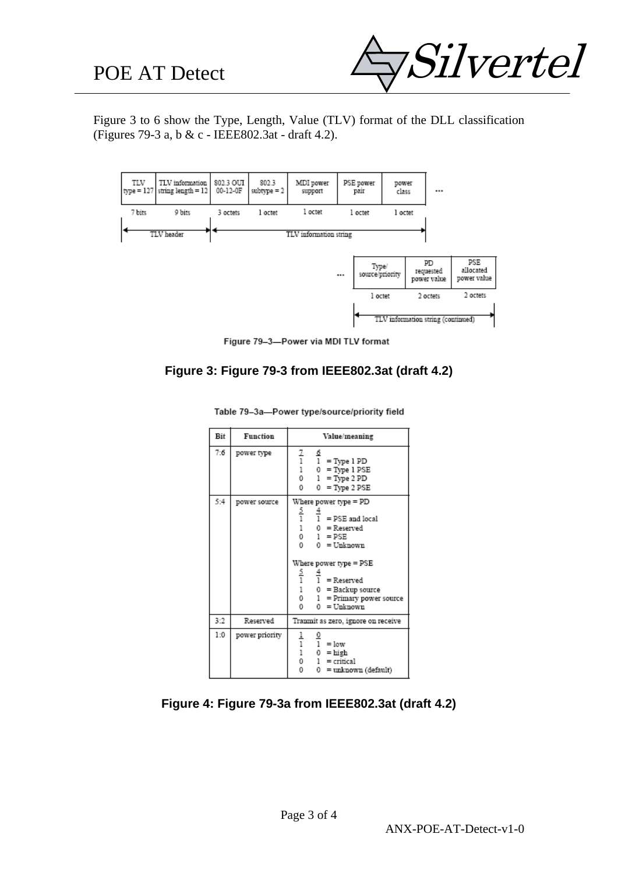

Figure 3 to 6 show the Type, Length, Value (TLV) format of the DLL classification (Figures 79-3 a, b & c - IEEE802.3at - draft 4.2).



Figure 79-3-Power via MDI TLV format

# **Figure 3: Figure 79-3 from IEEE802.3at (draft 4.2)**

| Bit | Function       | Value/meaning                                                                                                                                                                                                                                                                                                                                   |  |
|-----|----------------|-------------------------------------------------------------------------------------------------------------------------------------------------------------------------------------------------------------------------------------------------------------------------------------------------------------------------------------------------|--|
| 7:6 | power type     | $\frac{7}{1}$<br>Q<br>$1 = Type 1 PD$<br>$\mathbf{1}$<br>$0 = Type 1 PSE$<br>$^{\circ}$<br>$1 = Type 2 PD$<br>0<br>$0 = Type 2 PSE$                                                                                                                                                                                                             |  |
| 5:4 | power source   | Where power type = PD<br>$\frac{5}{1}$<br>$\frac{4}{1}$ = PSE and local<br>$\mathbf{1}$<br>$0 =$ Reserved<br>$^{\circ}$<br>$1 = PSE$<br>$^{\circ}$<br>0 = Unknown<br>Where power type = PSE<br>$\frac{5}{1}$<br>$\frac{4}{1}$ = Reserved<br>$\mathbf{1}$<br>$0 =$ Backup source<br>$^{\circ}$<br>1 = Primary power source<br>0<br>$0 = Unknown$ |  |
| 3:2 | Reserved       | Tranmit as zero, ignore on receive                                                                                                                                                                                                                                                                                                              |  |
| 1:0 | power priority | $\frac{1}{1}$<br>$\frac{0}{1}$ = low<br>$\mathbf{i}$<br>$0 = high$<br>$^{\circ}$<br>$1 = critical$<br>0<br>0.<br>= unknown (default)                                                                                                                                                                                                            |  |

Table 79-3a-Power type/source/priority field

#### **Figure 4: Figure 79-3a from IEEE802.3at (draft 4.2)**